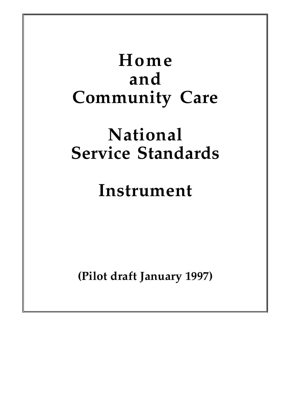# **Home and Community Care National Service Standards Instrument**

**(Pilot draft January 1997)**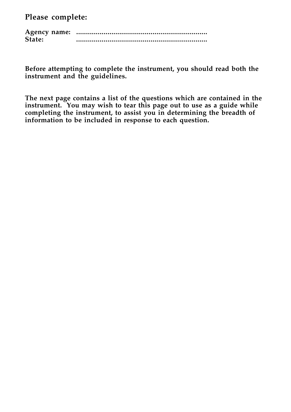**Please complete:**

**Agency name: ................................................................... State: ...................................................................**

**Before attempting to complete the instrument, you should read both the instrument and the guidelines.**

**The next page contains a list of the questions which are contained in the instrument. You may wish to tear this page out to use as a guide while completing the instrument, to assist you in determining the breadth of information to be included in response to each question.**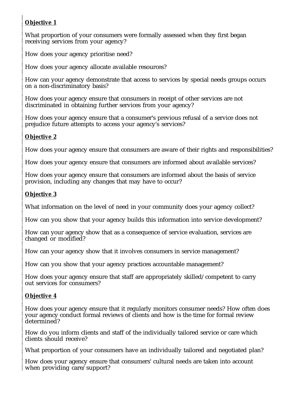#### **Objective 1**

What proportion of your consumers were formally assessed when they first began receiving services from your agency?

How does your agency prioritise need?

How does your agency allocate available resources?

How can your agency demonstrate that access to services by special needs groups occurs on a non-discriminatory basis?

How does your agency ensure that consumers in receipt of other services are not discriminated in obtaining further services from your agency?

How does your agency ensure that a consumer's previous refusal of a service does not prejudice future attempts to access your agency's services?

#### **Objective 2**

How does your agency ensure that consumers are aware of their rights and responsibilities?

How does your agency ensure that consumers are informed about available services?

How does your agency ensure that consumers are informed about the basis of service provision, including any changes that may have to occur?

#### **Objective 3**

What information on the level of need in your community does your agency collect?

How can you show that your agency builds this information into service development?

How can your agency show that as a consequence of service evaluation, services are changed or modified?

How can your agency show that it involves consumers in service management?

How can you show that your agency practices accountable management?

How does your agency ensure that staff are appropriately skilled/competent to carry out services for consumers?

#### **Objective 4**

How does your agency ensure that it regularly monitors consumer needs? How often does your agency conduct formal reviews of clients and how is the time for formal review determined?

How do you inform clients and staff of the individually tailored service or care which clients should receive?

What proportion of your consumers have an individually tailored and negotiated plan?

How does your agency ensure that consumers' cultural needs are taken into account when providing care/support?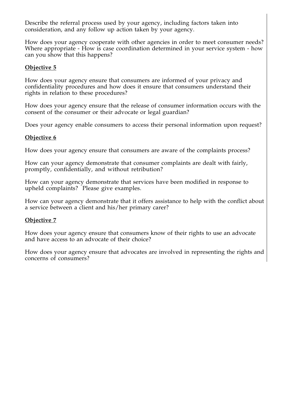Describe the referral process used by your agency, including factors taken into consideration, and any follow up action taken by your agency.

How does your agency cooperate with other agencies in order to meet consumer needs? Where appropriate - How is case coordination determined in your service system - how can you show that this happens?

#### **Objective 5**

How does your agency ensure that consumers are informed of your privacy and confidentiality procedures and how does it ensure that consumers understand their rights in relation to these procedures?

How does your agency ensure that the release of consumer information occurs with the consent of the consumer or their advocate or legal guardian?

Does your agency enable consumers to access their personal information upon request?

#### **Objective 6**

How does your agency ensure that consumers are aware of the complaints process?

How can your agency demonstrate that consumer complaints are dealt with fairly, promptly, confidentially, and without retribution?

How can your agency demonstrate that services have been modified in response to upheld complaints? Please give examples.

How can your agency demonstrate that it offers assistance to help with the conflict about a service between a client and his/her primary carer?

#### **Objective 7**

How does your agency ensure that consumers know of their rights to use an advocate and have access to an advocate of their choice?

How does your agency ensure that advocates are involved in representing the rights and concerns of consumers?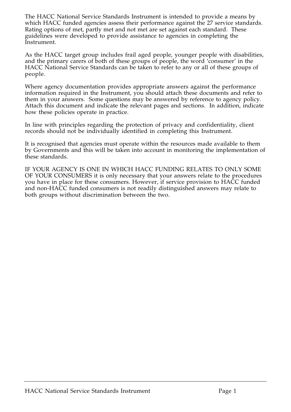The HACC National Service Standards Instrument is intended to provide a means by which HACC funded agencies assess their performance against the 27 service standards. Rating options of met, partly met and not met are set against each standard. These guidelines were developed to provide assistance to agencies in completing the Instrument.

As the HACC target group includes frail aged people, younger people with disabilities, and the primary carers of both of these groups of people, the word 'consumer' in the HACC National Service Standards can be taken to refer to any or all of these groups of people.

Where agency documentation provides appropriate answers against the performance information required in the Instrument, you should attach these documents and refer to them in your answers. Some questions may be answered by reference to agency policy. Attach this document and indicate the relevant pages and sections. In addition, indicate how these policies operate in practice.

In line with principles regarding the protection of privacy and confidentiality, client records should not be individually identified in completing this Instrument.

It is recognised that agencies must operate within the resources made available to them by Governments and this will be taken into account in monitoring the implementation of these standards.

IF YOUR AGENCY IS ONE IN WHICH HACC FUNDING RELATES TO ONLY SOME OF YOUR CONSUMERS it is only necessary that your answers relate to the procedures you have in place for these consumers. However, if service provision to HACC funded and non-HACC funded consumers is not readily distinguished answers may relate to both groups without discrimination between the two.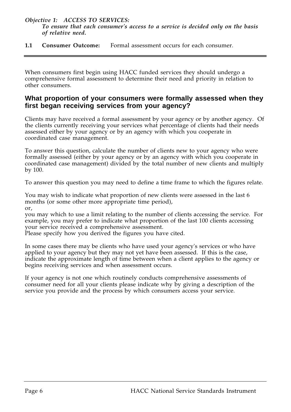*Objective 1: ACCESS TO SERVICES: To ensure that each consumer's access to a service is decided only on the basis of relative need.*

**1.1 Consumer Outcome:** Formal assessment occurs for each consumer.

When consumers first begin using HACC funded services they should undergo a comprehensive formal assessment to determine their need and priority in relation to other consumers.

#### **What proportion of your consumers were formally assessed when they first began receiving services from your agency?**

Clients may have received a formal assessment by your agency or by another agency. Of the clients currently receiving your services what percentage of clients had their needs assessed either by your agency or by an agency with which you cooperate in coordinated case management.

To answer this question, calculate the number of clients new to your agency who were formally assessed (either by your agency or by an agency with which you cooperate in coordinated case management) divided by the total number of new clients and multiply by 100.

To answer this question you may need to define a time frame to which the figures relate.

You may wish to indicate what proportion of new clients were assessed in the last 6 months (or some other more appropriate time period), or,

you may which to use a limit relating to the number of clients accessing the service. For example, you may prefer to indicate what proportion of the last 100 clients accessing your service received a comprehensive assessment.

Please specify how you derived the figures you have cited.

In some cases there may be clients who have used your agency's services or who have applied to your agency but they may not yet have been assessed. If this is the case, indicate the approximate length of time between when a client applies to the agency or begins receiving services and when assessment occurs.

If your agency is not one which routinely conducts comprehensive assessments of consumer need for all your clients please indicate why by giving a description of the service you provide and the process by which consumers access your service.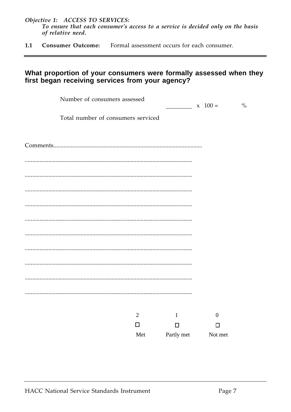Objective 1: ACCESS TO SERVICES: To ensure that each consumer's access to a service is decided only on the basis of relative need.

 $1.1$ **Consumer Outcome:** Formal assessment occurs for each consumer.

#### What proportion of your consumers were formally assessed when they first began receiving services from your agency?

| Number of consumers assessed       |                |                    | $x \ 100 =$      | $\frac{0}{0}$ |
|------------------------------------|----------------|--------------------|------------------|---------------|
| Total number of consumers serviced |                |                    |                  |               |
|                                    |                |                    |                  |               |
|                                    |                |                    |                  |               |
|                                    |                |                    |                  |               |
|                                    |                |                    |                  |               |
|                                    |                |                    |                  |               |
|                                    |                |                    |                  |               |
|                                    |                |                    |                  |               |
|                                    |                |                    |                  |               |
|                                    |                |                    |                  |               |
|                                    |                |                    |                  |               |
|                                    |                |                    |                  |               |
|                                    |                |                    |                  |               |
|                                    | $\overline{2}$ | $\mathbf{1}$       | $\boldsymbol{0}$ |               |
|                                    | $\Box$         | $\Box$             | $\Box$           |               |
|                                    | Met            | Partly met Not met |                  |               |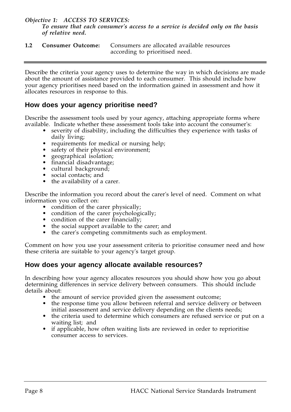*Objective 1: ACCESS TO SERVICES:*

*To ensure that each consumer's access to a service is decided only on the basis of relative need.*

**1.2 Consumer Outcome:** Consumers are allocated available resources according to prioritised need.

Describe the criteria your agency uses to determine the way in which decisions are made about the amount of assistance provided to each consumer. This should include how your agency prioritises need based on the information gained in assessment and how it allocates resources in response to this.

#### **How does your agency prioritise need?**

Describe the assessment tools used by your agency, attaching appropriate forms where available. Indicate whether these assessment tools take into account the consumer's:

- severity of disability, including the difficulties they experience with tasks of daily living;
- requirements for medical or nursing help;
- safety of their physical environment;
- geographical isolation;
- financial disadvantage;
- cultural background;
- social contacts; and
- the availability of a carer.

Describe the information you record about the carer's level of need. Comment on what information you collect on:

- condition of the carer physically;
- condition of the carer psychologically;
- condition of the carer financially;
- the social support available to the carer; and
- the carer's competing commitments such as employment.

Comment on how you use your assessment criteria to prioritise consumer need and how these criteria are suitable to your agency's target group.

#### **How does your agency allocate available resources?**

In describing how your agency allocates resources you should show how you go about determining differences in service delivery between consumers. This should include details about:

- the amount of service provided given the assessment outcome;
- the response time you allow between referral and service delivery or between initial assessment and service delivery depending on the clients needs;
- the criteria used to determine which consumers are refused service or put on a waiting list; and
- if applicable, how often waiting lists are reviewed in order to reprioritise consumer access to services.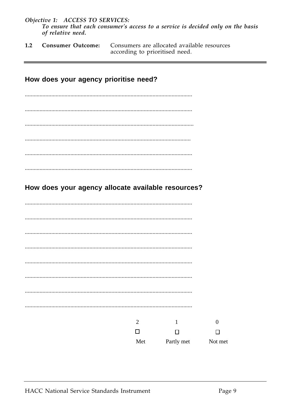Objective 1: ACCESS TO SERVICES: To ensure that each consumer's access to a service is decided only on the basis of relative need.

**Consumer Outcome:** Consumers are allocated available resources  $1.2$ according to prioritised need.

## How does your agency prioritise need?

#### How does your agency allocate available resources?

| $\overline{2}$ | 1          | $\overline{0}$ |
|----------------|------------|----------------|
| □              | □          | П              |
| Met            | Partly met | Not met        |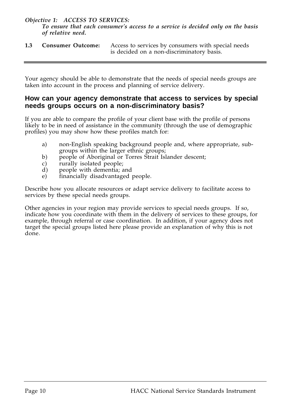#### *Objective 1: ACCESS TO SERVICES:*

*To ensure that each consumer's access to a service is decided only on the basis of relative need.*

**1.3 Consumer Outcome:** Access to services by consumers with special needs is decided on a non-discriminatory basis.

Your agency should be able to demonstrate that the needs of special needs groups are taken into account in the process and planning of service delivery.

#### **How can your agency demonstrate that access to services by special needs groups occurs on a non-discriminatory basis?**

If you are able to compare the profile of your client base with the profile of persons likely to be in need of assistance in the community (through the use of demographic profiles) you may show how these profiles match for:

- a) non-English speaking background people and, where appropriate, subgroups within the larger ethnic groups;
- b) people of Aboriginal or Torres Strait Islander descent;
- c) rurally isolated people;
- d) people with dementia; and
- e) financially disadvantaged people.

Describe how you allocate resources or adapt service delivery to facilitate access to services by these special needs groups.

Other agencies in your region may provide services to special needs groups. If so, indicate how you coordinate with them in the delivery of services to these groups, for example, through referral or case coordination. In addition, if your agency does not target the special groups listed here please provide an explanation of why this is not done.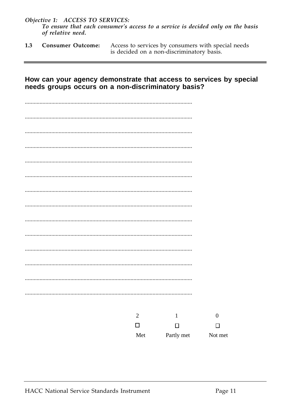Objective 1: ACCESS TO SERVICES: To ensure that each consumer's access to a service is decided only on the basis of relative need.

 $1.3$ **Consumer Outcome:** Access to services by consumers with special needs is decided on a non-discriminatory basis.

#### How can your agency demonstrate that access to services by special needs groups occurs on a non-discriminatory basis?

| $\overline{2}$ | $\mathbf{1}$ | $\boldsymbol{0}$ |
|----------------|--------------|------------------|
| $\Box$         | $\Box$       | $\Box$           |
| Met            | Partly met   | Not met          |
|                |              |                  |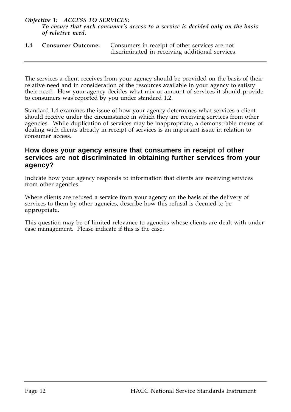#### *Objective 1: ACCESS TO SERVICES: To ensure that each consumer's access to a service is decided only on the basis of relative need.*

| 1.4 | <b>Consumer Outcome:</b> Consumers in receipt of other services are not |
|-----|-------------------------------------------------------------------------|
|     | discriminated in receiving additional services.                         |

The services a client receives from your agency should be provided on the basis of their relative need and in consideration of the resources available in your agency to satisfy their need. How your agency decides what mix or amount of services it should provide to consumers was reported by you under standard 1.2.

Standard 1.4 examines the issue of how your agency determines what services a client should receive under the circumstance in which they are receiving services from other agencies. While duplication of services may be inappropriate, a demonstrable means of dealing with clients already in receipt of services is an important issue in relation to consumer access.

#### **How does your agency ensure that consumers in receipt of other services are not discriminated in obtaining further services from your agency?**

Indicate how your agency responds to information that clients are receiving services from other agencies.

Where clients are refused a service from your agency on the basis of the delivery of services to them by other agencies, describe how this refusal is deemed to be appropriate.

This question may be of limited relevance to agencies whose clients are dealt with under case management. Please indicate if this is the case.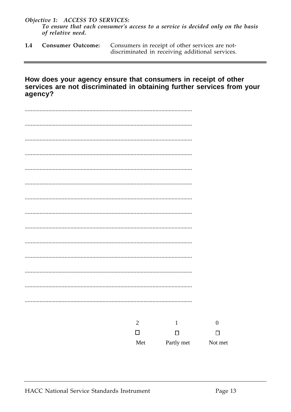Objective 1: ACCESS TO SERVICES: To ensure that each consumer's access to a service is decided only on the basis of relative need.

 $1.4$ **Consumer Outcome:** Consumers in receipt of other services are notdiscriminated in receiving additional services.

#### How does your agency ensure that consumers in receipt of other services are not discriminated in obtaining further services from your agency?

| $\overline{2}$ | $\mathbf{1}$ | $\bf{0}$ |
|----------------|--------------|----------|
| $\Box$         | $\Box$       | $\Box$   |
| Met            | Partly met   | Not met  |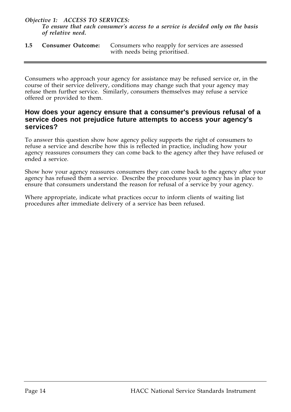*Objective 1: ACCESS TO SERVICES:*

*To ensure that each consumer's access to a service is decided only on the basis of relative need.*

**1.5 Consumer Outcome:** Consumers who reapply for services are assessed with needs being prioritised.

Consumers who approach your agency for assistance may be refused service or, in the course of their service delivery, conditions may change such that your agency may refuse them further service. Similarly, consumers themselves may refuse a service offered or provided to them.

#### **How does your agency ensure that a consumer's previous refusal of a service does not prejudice future attempts to access your agency's services?**

To answer this question show how agency policy supports the right of consumers to refuse a service and describe how this is reflected in practice, including how your agency reassures consumers they can come back to the agency after they have refused or ended a service.

Show how your agency reassures consumers they can come back to the agency after your agency has refused them a service. Describe the procedures your agency has in place to ensure that consumers understand the reason for refusal of a service by your agency.

Where appropriate, indicate what practices occur to inform clients of waiting list procedures after immediate delivery of a service has been refused.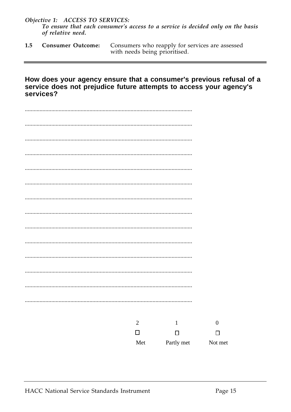Objective 1: ACCESS TO SERVICES: To ensure that each consumer's access to a service is decided only on the basis of relative need.

 $1.5$ **Consumer Outcome:** Consumers who reapply for services are assessed with needs being prioritised.

#### How does your agency ensure that a consumer's previous refusal of a service does not prejudice future attempts to access your agency's services?

| $\mathbf{2}$ | $\mathbf{1}$ | $\mathbf{0}$ |
|--------------|--------------|--------------|
| $\Box$       | $\Box$       | $\Box$       |
| Met          | Partly met   | Not met      |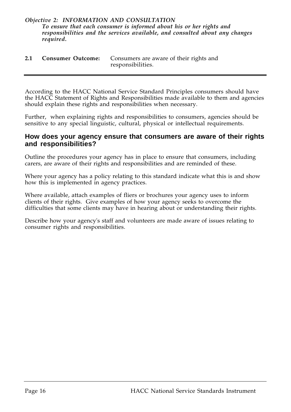#### *Objective 2: INFORMATION AND CONSULTATION To ensure that each consumer is informed about his or her rights and responsibilities and the services available, and consulted about any changes required.*

| 2.1 | <b>Consumer Outcome:</b> Consumers are aware of their rights and |
|-----|------------------------------------------------------------------|
|     | responsibilities.                                                |

According to the HACC National Service Standard Principles consumers should have the HACC Statement of Rights and Responsibilities made available to them and agencies should explain these rights and responsibilities when necessary.

Further, when explaining rights and responsibilities to consumers, agencies should be sensitive to any special linguistic, cultural, physical or intellectual requirements.

#### **How does your agency ensure that consumers are aware of their rights and responsibilities?**

Outline the procedures your agency has in place to ensure that consumers, including carers, are aware of their rights and responsibilities and are reminded of these.

Where your agency has a policy relating to this standard indicate what this is and show how this is implemented in agency practices.

Where available, attach examples of fliers or brochures your agency uses to inform clients of their rights. Give examples of how your agency seeks to overcome the difficulties that some clients may have in hearing about or understanding their rights.

Describe how your agency's staff and volunteers are made aware of issues relating to consumer rights and responsibilities.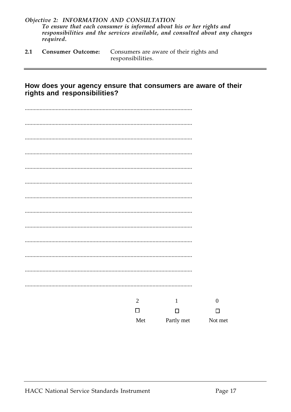|           |  | Objective 2: INFORMATION AND CONSULTATION                                    |  |  |  |
|-----------|--|------------------------------------------------------------------------------|--|--|--|
|           |  | To ensure that each consumer is informed about his or her rights and         |  |  |  |
|           |  | responsibilities and the services available, and consulted about any changes |  |  |  |
| required. |  |                                                                              |  |  |  |

Consumers are aware of their rights and responsibilities.  $2.1$ **Consumer Outcome:** 

# How does your agency ensure that consumers are aware of their<br>rights and responsibilities?

| $\overline{2}$ | $\mathbf{1}$ | $\boldsymbol{0}$ |
|----------------|--------------|------------------|
| $\Box$         | $\Box$       | □                |
| Met            | Partly met   | Not met          |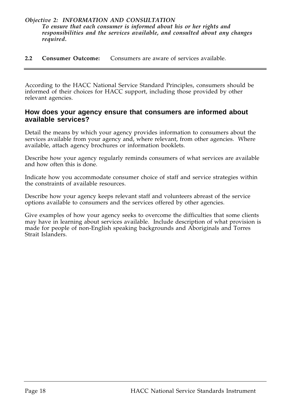#### *Objective 2: INFORMATION AND CONSULTATION To ensure that each consumer is informed about his or her rights and responsibilities and the services available, and consulted about any changes required.*

**2.2 Consumer Outcome:** Consumers are aware of services available.

According to the HACC National Service Standard Principles, consumers should be informed of their choices for HACC support, including those provided by other relevant agencies.

#### **How does your agency ensure that consumers are informed about available services?**

Detail the means by which your agency provides information to consumers about the services available from your agency and, where relevant, from other agencies. Where available, attach agency brochures or information booklets.

Describe how your agency regularly reminds consumers of what services are available and how often this is done.

Indicate how you accommodate consumer choice of staff and service strategies within the constraints of available resources.

Describe how your agency keeps relevant staff and volunteers abreast of the service options available to consumers and the services offered by other agencies.

Give examples of how your agency seeks to overcome the difficulties that some clients may have in learning about services available. Include description of what provision is made for people of non-English speaking backgrounds and Aboriginals and Torres Strait Islanders.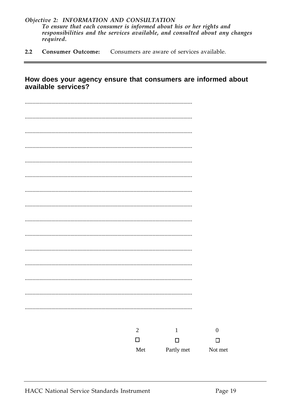- Objective 2: INFORMATION AND CONSULTATION To ensure that each consumer is informed about his or her rights and responsibilities and the services available, and consulted about any changes required.
- $2.2$ **Consumer Outcome:** Consumers are aware of services available.

#### How does your agency ensure that consumers are informed about available services?

| $\overline{c}$                | $\,1\,$    | $\boldsymbol{0}$ |
|-------------------------------|------------|------------------|
| $\Box$                        | $\Box$     | $\Box$           |
| $\operatorname{\mathsf{Met}}$ | Partly met | Not met          |
|                               |            |                  |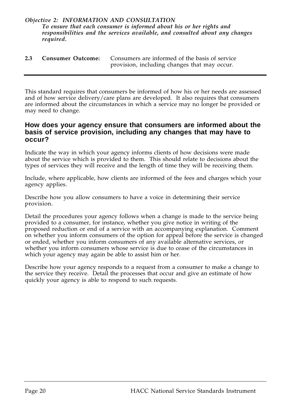#### *Objective 2: INFORMATION AND CONSULTATION To ensure that each consumer is informed about his or her rights and responsibilities and the services available, and consulted about any changes required.*

| 2.3 | <b>Consumer Outcome:</b> Consumers are informed of the basis of service |
|-----|-------------------------------------------------------------------------|
|     | provision, including changes that may occur.                            |

This standard requires that consumers be informed of how his or her needs are assessed and of how service delivery/care plans are developed. It also requires that consumers are informed about the circumstances in which a service may no longer be provided or may need to change.

#### **How does your agency ensure that consumers are informed about the basis of service provision, including any changes that may have to occur?**

Indicate the way in which your agency informs clients of how decisions were made about the service which is provided to them. This should relate to decisions about the types of services they will receive and the length of time they will be receiving them.

Include, where applicable, how clients are informed of the fees and charges which your agency applies.

Describe how you allow consumers to have a voice in determining their service provision.

Detail the procedures your agency follows when a change is made to the service being provided to a consumer, for instance, whether you give notice in writing of the proposed reduction or end of a service with an accompanying explanation. Comment on whether you inform consumers of the option for appeal before the service is changed or ended, whether you inform consumers of any available alternative services, or whether you inform consumers whose service is due to cease of the circumstances in which your agency may again be able to assist him or her.

Describe how your agency responds to a request from a consumer to make a change to the service they receive. Detail the processes that occur and give an estimate of how quickly your agency is able to respond to such requests.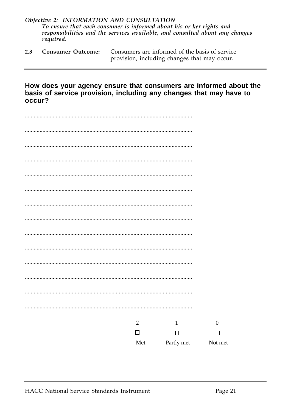- Objective 2: INFORMATION AND CONSULTATION To ensure that each consumer is informed about his or her rights and responsibilities and the services available, and consulted about any changes required.
- $2.3$ **Consumer Outcome:** Consumers are informed of the basis of service provision, including changes that may occur.

How does your agency ensure that consumers are informed about the basis of service provision, including any changes that may have to occur?

| . |            |              |                  |
|---|------------|--------------|------------------|
|   |            |              |                  |
|   |            |              |                  |
|   |            |              |                  |
|   |            |              |                  |
|   |            |              |                  |
|   |            |              |                  |
|   |            |              |                  |
|   |            |              |                  |
|   |            |              |                  |
|   | $\sqrt{2}$ | $\mathbf{1}$ | $\boldsymbol{0}$ |
|   | $\Box$     | $\Box$       | $\Box$           |
|   | Met        | Partly met   | Not met          |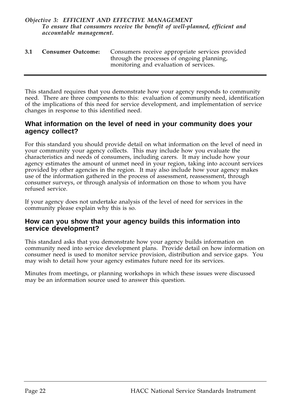#### *Objective 3: EFFICIENT AND EFFECTIVE MANAGEMENT To ensure that consumers receive the benefit of well-planned, efficient and accountable management.*

**3.1 Consumer Outcome:** Consumers receive appropriate services provided through the processes of ongoing planning, monitoring and evaluation of services.

This standard requires that you demonstrate how your agency responds to community need. There are three components to this: evaluation of community need, identification of the implications of this need for service development, and implementation of service changes in response to this identified need.

#### **What information on the level of need in your community does your agency collect?**

For this standard you should provide detail on what information on the level of need in your community your agency collects. This may include how you evaluate the characteristics and needs of consumers, including carers. It may include how your agency estimates the amount of unmet need in your region, taking into account services provided by other agencies in the region. It may also include how your agency makes use of the information gathered in the process of assessment, reassessment, through consumer surveys, or through analysis of information on those to whom you have refused service.

If your agency does not undertake analysis of the level of need for services in the community please explain why this is so.

#### **How can you show that your agency builds this information into service development?**

This standard asks that you demonstrate how your agency builds information on community need into service development plans. Provide detail on how information on consumer need is used to monitor service provision, distribution and service gaps. You may wish to detail how your agency estimates future need for its services.

Minutes from meetings, or planning workshops in which these issues were discussed may be an information source used to answer this question.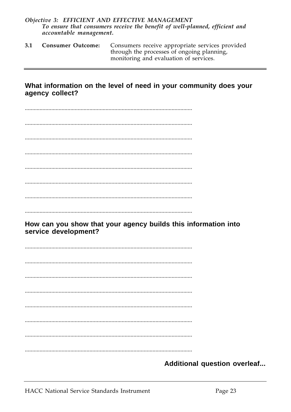#### Objective 3: EFFICIENT AND EFFECTIVE MANAGEMENT To ensure that consumers receive the benefit of well-planned, efficient and accountable management.

 $3.1$ **Consumer Outcome:** Consumers receive appropriate services provided through the processes of ongoing planning, monitoring and evaluation of services.

#### What information on the level of need in your community does your agency collect?

How can you show that your agency builds this information into service development?

Additional question overleaf...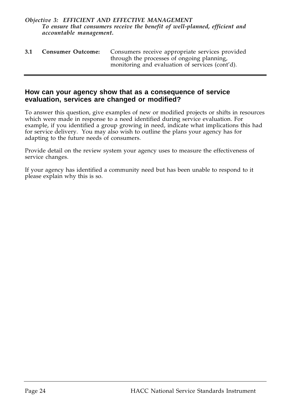#### *Objective 3: EFFICIENT AND EFFECTIVE MANAGEMENT To ensure that consumers receive the benefit of well-planned, efficient and accountable management.*

| 3.1 | <b>Consumer Outcome:</b> | Consumers receive appropriate services provided<br>through the processes of ongoing planning, |
|-----|--------------------------|-----------------------------------------------------------------------------------------------|
|     |                          | monitoring and evaluation of services (cont'd).                                               |

#### **How can your agency show that as a consequence of service evaluation, services are changed or modified?**

To answer this question, give examples of new or modified projects or shifts in resources which were made in response to a need identified during service evaluation. For example, if you identified a group growing in need, indicate what implications this had for service delivery. You may also wish to outline the plans your agency has for adapting to the future needs of consumers.

Provide detail on the review system your agency uses to measure the effectiveness of service changes.

If your agency has identified a community need but has been unable to respond to it please explain why this is so.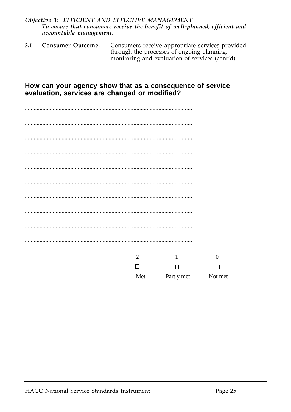#### Objective 3: EFFICIENT AND EFFECTIVE MANAGEMENT To ensure that consumers receive the benefit of well-planned, efficient and accountable management.

 $3.1$ **Consumer Outcome:** Consumers receive appropriate services provided through the processes of ongoing planning, monitoring and evaluation of services (cont'd).

#### How can your agency show that as a consequence of service evaluation, services are changed or modified?

| $\overline{2}$ | $\mathbf{1}$ | $\overline{0}$     |
|----------------|--------------|--------------------|
| $\Box$         | $\Box$       | □                  |
| Met            |              | Partly met Not met |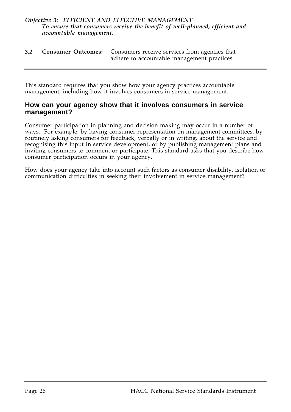#### *Objective 3: EFFICIENT AND EFFECTIVE MANAGEMENT To ensure that consumers receive the benefit of well-planned, efficient and accountable management.*

**3.2 Consumer Outcomes:** Consumers receive services from agencies that adhere to accountable management practices.

This standard requires that you show how your agency practices accountable management, including how it involves consumers in service management.

#### **How can your agency show that it involves consumers in service management?**

Consumer participation in planning and decision making may occur in a number of ways. For example, by having consumer representation on management committees, by routinely asking consumers for feedback, verbally or in writing, about the service and recognising this input in service development, or by publishing management plans and inviting consumers to comment or participate. This standard asks that you describe how consumer participation occurs in your agency.

How does your agency take into account such factors as consumer disability, isolation or communication difficulties in seeking their involvement in service management?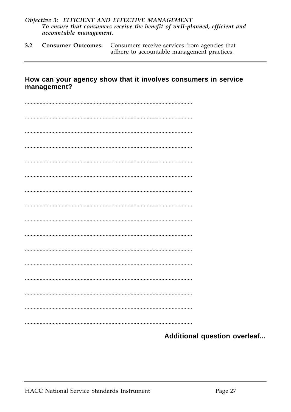#### Objective 3: EFFICIENT AND EFFECTIVE MANAGEMENT To ensure that consumers receive the benefit of well-planned, efficient and accountable management.

 $3.2$ **Consumer Outcomes:** Consumers receive services from agencies that adhere to accountable management practices.

#### How can your agency show that it involves consumers in service management?

Additional question overleaf...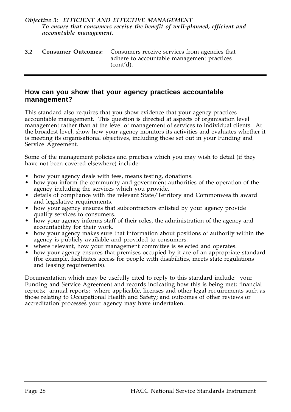#### *Objective 3: EFFICIENT AND EFFECTIVE MANAGEMENT To ensure that consumers receive the benefit of well-planned, efficient and accountable management.*

| 3.2 | <b>Consumer Outcomes:</b> Consumers receive services from agencies that |
|-----|-------------------------------------------------------------------------|
|     | adhere to accountable management practices                              |
|     | (cont'd).                                                               |

#### **How can you show that your agency practices accountable management?**

This standard also requires that you show evidence that your agency practices accountable management. This question is directed at aspects of organisation level management rather than at the level of management of services to individual clients. At the broadest level, show how your agency monitors its activities and evaluates whether it is meeting its organisational objectives, including those set out in your Funding and Service Agreement.

Some of the management policies and practices which you may wish to detail (if they have not been covered elsewhere) include:

- how your agency deals with fees, means testing, donations.
- how you inform the community and government authorities of the operation of the agency including the services which you provide.
- details of compliance with the relevant State/Territory and Commonwealth award and legislative requirements.
- how your agency ensures that subcontractors enlisted by your agency provide quality services to consumers.
- how your agency informs staff of their roles, the administration of the agency and accountability for their work.
- how your agency makes sure that information about positions of authority within the agency is publicly available and provided to consumers.
- where relevant, how your management committee is selected and operates.
- how your agency ensures that premises occupied by it are of an appropriate standard (for example, facilitates access for people with disabilities, meets state regulations and leasing requirements).

Documentation which may be usefully cited to reply to this standard include: your Funding and Service Agreement and records indicating how this is being met; financial reports; annual reports; where applicable, licenses and other legal requirements such as those relating to Occupational Health and Safety; and outcomes of other reviews or accreditation processes your agency may have undertaken.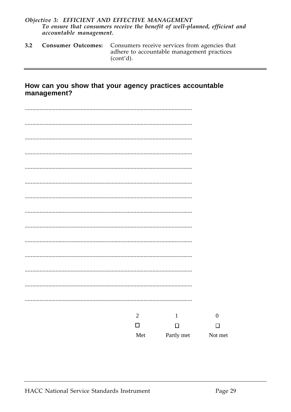#### Objective 3: EFFICIENT AND EFFECTIVE MANAGEMENT To ensure that consumers receive the benefit of well-planned, efficient and accountable management.

 $3.2$ **Consumer Outcomes:** Consumers receive services from agencies that adhere to accountable management practices (cont'd).

#### How can you show that your agency practices accountable management?

| $\overline{2}$ | $1\,$      | $\boldsymbol{0}$ |
|----------------|------------|------------------|
| $\Box$         | $\Box$     | $\Box$           |
| Met            | Partly met | Not met          |
|                |            |                  |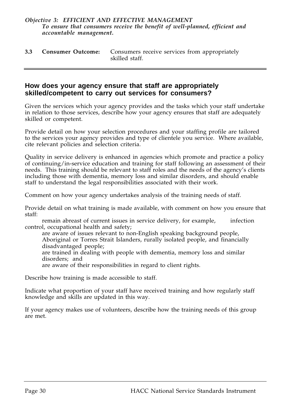#### *Objective 3: EFFICIENT AND EFFECTIVE MANAGEMENT To ensure that consumers receive the benefit of well-planned, efficient and accountable management.*

|  | <b>3.3 Consumer Outcome:</b> Consumers receive services from appropriately |
|--|----------------------------------------------------------------------------|
|  | skilled staff.                                                             |

#### **How does your agency ensure that staff are appropriately skilled/competent to carry out services for consumers?**

Given the services which your agency provides and the tasks which your staff undertake in relation to those services, describe how your agency ensures that staff are adequately skilled or competent.

Provide detail on how your selection procedures and your staffing profile are tailored to the services your agency provides and type of clientele you service. Where available, cite relevant policies and selection criteria.

Quality in service delivery is enhanced in agencies which promote and practice a policy of continuing/in-service education and training for staff following an assessment of their needs. This training should be relevant to staff roles and the needs of the agency's clients including those with dementia, memory loss and similar disorders, and should enable staff to understand the legal responsibilities associated with their work.

Comment on how your agency undertakes analysis of the training needs of staff.

Provide detail on what training is made available, with comment on how you ensure that staff:

remain abreast of current issues in service delivery, for example, infection control, occupational health and safety;

are aware of issues relevant to non-English speaking background people, Aboriginal or Torres Strait Islanders, rurally isolated people, and financially disadvantaged people; are trained in dealing with people with dementia, memory loss and similar

disorders; and

are aware of their responsibilities in regard to client rights.

Describe how training is made accessible to staff.

Indicate what proportion of your staff have received training and how regularly staff knowledge and skills are updated in this way.

If your agency makes use of volunteers, describe how the training needs of this group are met.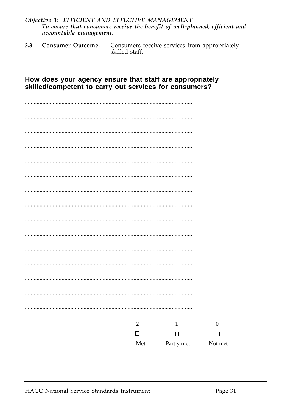### Objective 3: EFFICIENT AND EFFECTIVE MANAGEMENT<br>To ensure that consumers receive the benefit of well-planned, efficient and accountable management.

Consumers receive services from appropriately  $3.3$ **Consumer Outcome:** skilled staff.

| How does your agency ensure that staff are appropriately<br>skilled/competent to carry out services for consumers? |                |              |                  |
|--------------------------------------------------------------------------------------------------------------------|----------------|--------------|------------------|
|                                                                                                                    |                |              |                  |
|                                                                                                                    |                |              |                  |
|                                                                                                                    |                |              |                  |
|                                                                                                                    |                |              |                  |
|                                                                                                                    |                |              |                  |
|                                                                                                                    |                |              |                  |
|                                                                                                                    |                |              |                  |
|                                                                                                                    |                |              |                  |
|                                                                                                                    |                |              |                  |
|                                                                                                                    |                |              |                  |
|                                                                                                                    |                |              |                  |
|                                                                                                                    |                |              |                  |
|                                                                                                                    |                |              |                  |
|                                                                                                                    |                |              |                  |
|                                                                                                                    | $\overline{2}$ | $\mathbf{1}$ | $\boldsymbol{0}$ |
|                                                                                                                    | $\Box$         | П            | П                |
|                                                                                                                    | Met            | Partly met   | Not met          |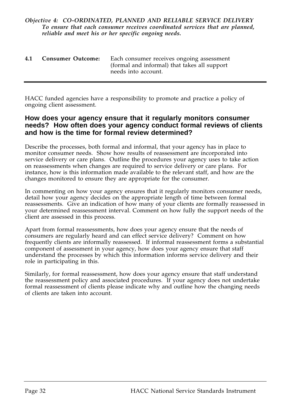#### *Objective 4: CO-ORDINATED, PLANNED AND RELIABLE SERVICE DELIVERY To ensure that each consumer receives coordinated services that are planned, reliable and meet his or her specific ongoing needs.*

| 4.1 | Consumer Outcome: | Each consumer receives ongoing assessment    |
|-----|-------------------|----------------------------------------------|
|     |                   | (formal and informal) that takes all support |
|     |                   | needs into account.                          |

HACC funded agencies have a responsibility to promote and practice a policy of ongoing client assessment.

#### **How does your agency ensure that it regularly monitors consumer needs? How often does your agency conduct formal reviews of clients and how is the time for formal review determined?**

Describe the processes, both formal and informal, that your agency has in place to monitor consumer needs. Show how results of reassessment are incorporated into service delivery or care plans. Outline the procedures your agency uses to take action on reassessments when changes are required to service delivery or care plans. For instance, how is this information made available to the relevant staff, and how are the changes monitored to ensure they are appropriate for the consumer.

In commenting on how your agency ensures that it regularly monitors consumer needs, detail how your agency decides on the appropriate length of time between formal reassessments. Give an indication of how many of your clients are formally reassessed in your determined reassessment interval. Comment on how fully the support needs of the client are assessed in this process.

Apart from formal reassessments, how does your agency ensure that the needs of consumers are regularly heard and can effect service delivery? Comment on how frequently clients are informally reassessed. If informal reassessment forms a substantial component of assessment in your agency, how does your agency ensure that staff understand the processes by which this information informs service delivery and their role in participating in this.

Similarly, for formal reassessment, how does your agency ensure that staff understand the reassessment policy and associated procedures. If your agency does not undertake formal reassessment of clients please indicate why and outline how the changing needs of clients are taken into account.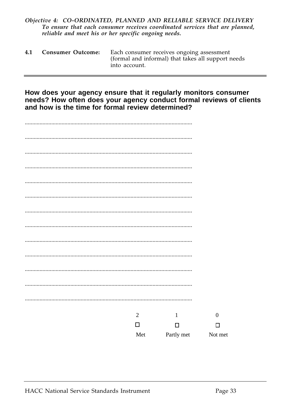#### Objective 4: CO-ORDINATED, PLANNED AND RELIABLE SERVICE DELIVERY To ensure that each consumer receives coordinated services that are planned, reliable and meet his or her specific ongoing needs.

| 4.1 | <b>Consumer Outcome:</b> | Each consumer receives ongoing assessment<br>(formal and informal) that takes all support needs |
|-----|--------------------------|-------------------------------------------------------------------------------------------------|
|     |                          | into account.                                                                                   |

How does your agency ensure that it regularly monitors consumer needs? How often does your agency conduct formal reviews of clients and how is the time for formal review determined?

| $\overline{2}$ | $\mathbf{1}$ | $\boldsymbol{0}$ |
|----------------|--------------|------------------|
| $\Box$         | $\Box$       | $\Box$           |
| Met            | Partly met   | Not met          |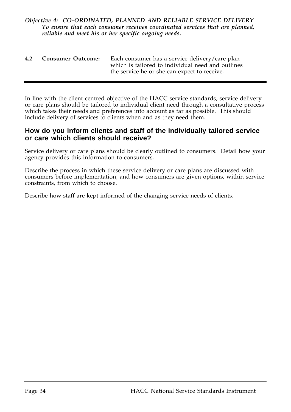#### *Objective 4: CO-ORDINATED, PLANNED AND RELIABLE SERVICE DELIVERY To ensure that each consumer receives coordinated services that are planned, reliable and meet his or her specific ongoing needs.*

| 4.2 | Consumer Outcome: | Each consumer has a service delivery/care plan    |
|-----|-------------------|---------------------------------------------------|
|     |                   | which is tailored to individual need and outlines |
|     |                   | the service he or she can expect to receive.      |

In line with the client centred objective of the HACC service standards, service delivery or care plans should be tailored to individual client need through a consultative process which takes their needs and preferences into account as far as possible. This should include delivery of services to clients when and as they need them.

#### **How do you inform clients and staff of the individually tailored service or care which clients should receive?**

Service delivery or care plans should be clearly outlined to consumers. Detail how your agency provides this information to consumers.

Describe the process in which these service delivery or care plans are discussed with consumers before implementation, and how consumers are given options, within service constraints, from which to choose.

Describe how staff are kept informed of the changing service needs of clients.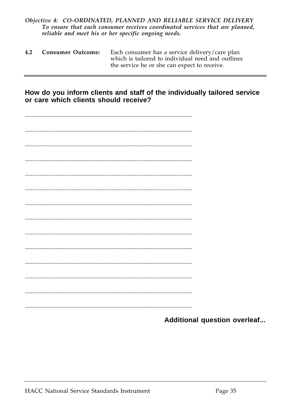#### Objective 4: CO-ORDINATED, PLANNED AND RELIABLE SERVICE DELIVERY To ensure that each consumer receives coordinated services that are planned, reliable and meet his or her specific ongoing needs.

| 4.2 | <b>Consumer Outcome:</b> | Each consumer has a service delivery/care plan    |
|-----|--------------------------|---------------------------------------------------|
|     |                          | which is tailored to individual need and outlines |
|     |                          | the service he or she can expect to receive.      |

#### How do you inform clients and staff of the individually tailored service or care which clients should receive?

Additional question overleaf...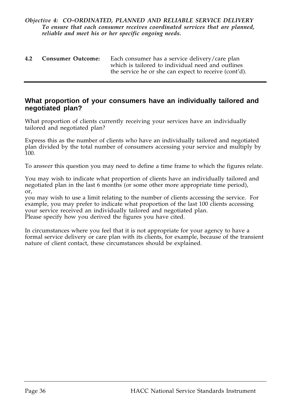#### *Objective 4: CO-ORDINATED, PLANNED AND RELIABLE SERVICE DELIVERY To ensure that each consumer receives coordinated services that are planned, reliable and meet his or her specific ongoing needs.*

| 4.2 | <b>Consumer Outcome:</b> | Each consumer has a service delivery/care plan        |
|-----|--------------------------|-------------------------------------------------------|
|     |                          | which is tailored to individual need and outlines     |
|     |                          | the service he or she can expect to receive (cont'd). |

#### **What proportion of your consumers have an individually tailored and negotiated plan?**

What proportion of clients currently receiving your services have an individually tailored and negotiated plan?

Express this as the number of clients who have an individually tailored and negotiated plan divided by the total number of consumers accessing your service and multiply by 100.

To answer this question you may need to define a time frame to which the figures relate.

You may wish to indicate what proportion of clients have an individually tailored and negotiated plan in the last 6 months (or some other more appropriate time period), or,

you may wish to use a limit relating to the number of clients accessing the service. For example, you may prefer to indicate what proportion of the last 100 clients accessing your service received an individually tailored and negotiated plan. Please specify how you derived the figures you have cited.

In circumstances where you feel that it is not appropriate for your agency to have a formal service delivery or care plan with its clients, for example, because of the transient nature of client contact, these circumstances should be explained.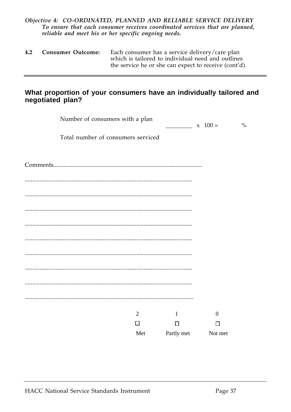#### *Objective 4: CO-ORDINATED, PLANNED AND RELIABLE SERVICE DELIVERY To ensure that each consumer receives coordinated services that are planned, reliable and meet his or her specific ongoing needs.*

| 4.2 | <b>Consumer Outcome:</b> | Each consumer has a service delivery/care plan        |
|-----|--------------------------|-------------------------------------------------------|
|     |                          | which is tailored to individual need and outlines     |
|     |                          | the service he or she can expect to receive (cont'd). |

#### **What proportion of your consumers have an individually tailored and negotiated plan?**

| Number of consumers with a plan    |                |                    | $\frac{0}{0}$<br>$x \ 100 =$ |
|------------------------------------|----------------|--------------------|------------------------------|
| Total number of consumers serviced |                |                    |                              |
|                                    |                |                    |                              |
|                                    |                |                    |                              |
|                                    |                |                    |                              |
|                                    |                |                    |                              |
|                                    |                |                    |                              |
|                                    |                |                    |                              |
|                                    |                |                    |                              |
|                                    |                |                    |                              |
|                                    |                |                    |                              |
|                                    |                |                    |                              |
|                                    | $\overline{2}$ | $\mathbf{1}$       | $\boldsymbol{0}$             |
|                                    | $\Box$         | $\Box$             | $\Box$                       |
|                                    | Met            | Partly met Not met |                              |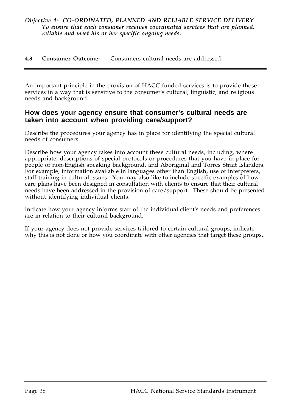#### **4.3 Consumer Outcome:** Consumers cultural needs are addressed.

An important principle in the provision of HACC funded services is to provide those services in a way that is sensitive to the consumer's cultural, linguistic, and religious needs and background.

#### **How does your agency ensure that consumer's cultural needs are taken into account when providing care/support?**

Describe the procedures your agency has in place for identifying the special cultural needs of consumers.

Describe how your agency takes into account these cultural needs, including, where appropriate, descriptions of special protocols or procedures that you have in place for people of non-English speaking background, and Aboriginal and Torres Strait Islanders. For example, information available in languages other than English, use of interpreters, staff training in cultural issues. You may also like to include specific examples of how care plans have been designed in consultation with clients to ensure that their cultural needs have been addressed in the provision of care/support. These should be presented without identifying individual clients.

Indicate how your agency informs staff of the individual client's needs and preferences are in relation to their cultural background.

If your agency does not provide services tailored to certain cultural groups, indicate why this is not done or how you coordinate with other agencies that target these groups.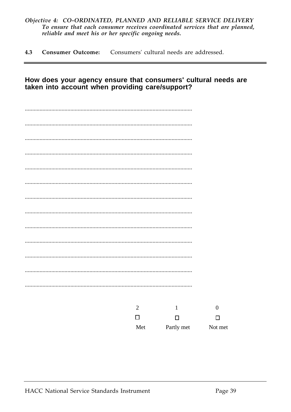#### Objective 4: CO-ORDINATED, PLANNED AND RELIABLE SERVICE DELIVERY To ensure that each consumer receives coordinated services that are planned, reliable and meet his or her specific ongoing needs.

Consumers' cultural needs are addressed.  $4.3$ **Consumer Outcome:** 

#### How does your agency ensure that consumers' cultural needs are taken into account when providing care/support?

| $\overline{2}$ | $\mathbf{1}$ | $\boldsymbol{0}$ |
|----------------|--------------|------------------|
| $\Box$         | $\Box$       | □                |
| Met            | Partly met   | Not met          |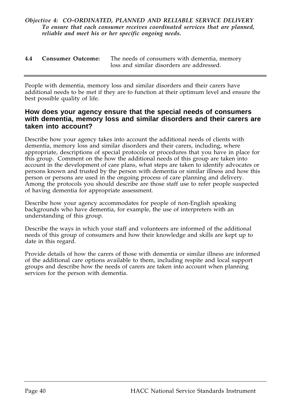#### *Objective 4: CO-ORDINATED, PLANNED AND RELIABLE SERVICE DELIVERY To ensure that each consumer receives coordinated services that are planned, reliable and meet his or her specific ongoing needs.*

| 4.4 Consumer Outcome: | The needs of consumers with dementia, memory |
|-----------------------|----------------------------------------------|
|                       | loss and similar disorders are addressed.    |

People with dementia, memory loss and similar disorders and their carers have additional needs to be met if they are to function at their optimum level and ensure the best possible quality of life.

#### **How does your agency ensure that the special needs of consumers with dementia, memory loss and similar disorders and their carers are taken into account?**

Describe how your agency takes into account the additional needs of clients with dementia, memory loss and similar disorders and their carers, including, where appropriate, descriptions of special protocols or procedures that you have in place for this group. Comment on the how the additional needs of this group are taken into account in the development of care plans, what steps are taken to identify advocates or persons known and trusted by the person with dementia or similar illness and how this person or persons are used in the ongoing process of care planning and delivery. Among the protocols you should describe are those staff use to refer people suspected of having dementia for appropriate assessment.

Describe how your agency accommodates for people of non-English speaking backgrounds who have dementia, for example, the use of interpreters with an understanding of this group.

Describe the ways in which your staff and volunteers are informed of the additional needs of this group of consumers and how their knowledge and skills are kept up to date in this regard.

Provide details of how the carers of those with dementia or similar illness are informed of the additional care options available to them, including respite and local support groups and describe how the needs of carers are taken into account when planning services for the person with dementia.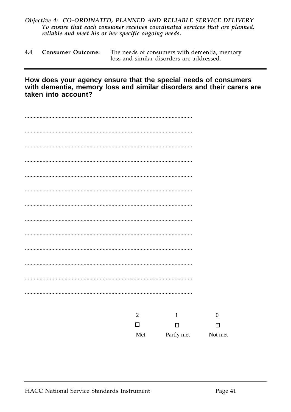#### Objective 4: CO-ORDINATED, PLANNED AND RELIABLE SERVICE DELIVERY To ensure that each consumer receives coordinated services that are planned, reliable and meet his or her specific ongoing needs.

| 4.4     Consumer Outcome: | The needs of consumers with dementia, memory |
|---------------------------|----------------------------------------------|
|                           | loss and similar disorders are addressed.    |

How does your agency ensure that the special needs of consumers with dementia, memory loss and similar disorders and their carers are taken into account?

| $\sqrt{2}$ | $\mathbf{1}$ | $\boldsymbol{0}$ |
|------------|--------------|------------------|
| $\Box$     | $\Box$       | $\Box$           |
| Met        | Partly met   | Not met          |
|            |              |                  |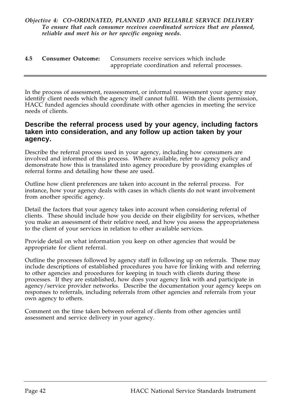|  | 4.5 Consumer Outcome: Consumers receive services which include |
|--|----------------------------------------------------------------|
|  | appropriate coordination and referral processes.               |

In the process of assessment, reassessment, or informal reassessment your agency may identify client needs which the agency itself cannot fulfil. With the clients permission, HACC funded agencies should coordinate with other agencies in meeting the service needs of clients.

#### **Describe the referral process used by your agency, including factors taken into consideration, and any follow up action taken by your agency.**

Describe the referral process used in your agency, including how consumers are involved and informed of this process. Where available, refer to agency policy and demonstrate how this is translated into agency procedure by providing examples of referral forms and detailing how these are used.

Outline how client preferences are taken into account in the referral process. For instance, how your agency deals with cases in which clients do not want involvement from another specific agency.

Detail the factors that your agency takes into account when considering referral of clients. These should include how you decide on their eligibility for services, whether you make an assessment of their relative need, and how you assess the appropriateness to the client of your services in relation to other available services.

Provide detail on what information you keep on other agencies that would be appropriate for client referral.

Outline the processes followed by agency staff in following up on referrals. These may include descriptions of established procedures you have for linking with and referring to other agencies and procedures for keeping in touch with clients during these processes. If they are established, how does your agency link with and participate in agency/service provider networks. Describe the documentation your agency keeps on responses to referrals, including referrals from other agencies and referrals from your own agency to others.

Comment on the time taken between referral of clients from other agencies until assessment and service delivery in your agency.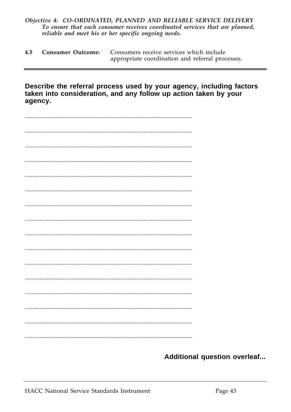#### Objective 4: CO-ORDINATED, PLANNED AND RELIABLE SERVICE DELIVERY To ensure that each consumer receives coordinated services that are planned, reliable and meet his or her specific ongoing needs.

|  | 4.5 Consumer Outcome: Consumers receive services which include |
|--|----------------------------------------------------------------|
|  | appropriate coordination and referral processes.               |

Describe the referral process used by your agency, including factors taken into consideration, and any follow up action taken by your agency.

| . |  |
|---|--|
|   |  |
|   |  |
|   |  |
|   |  |
|   |  |
|   |  |
|   |  |

Additional question overleaf...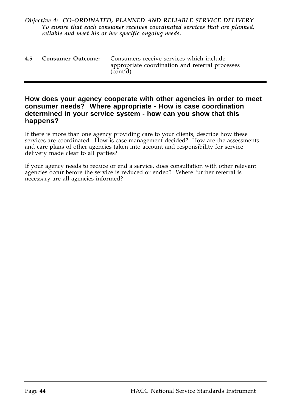#### *Objective 4: CO-ORDINATED, PLANNED AND RELIABLE SERVICE DELIVERY To ensure that each consumer receives coordinated services that are planned, reliable and meet his or her specific ongoing needs.*

|  | 4.5 Consumer Outcome: Consumers receive services which include |
|--|----------------------------------------------------------------|
|  | appropriate coordination and referral processes<br>(cont'd).   |

#### **How does your agency cooperate with other agencies in order to meet consumer needs? Where appropriate - How is case coordination determined in your service system - how can you show that this happens?**

If there is more than one agency providing care to your clients, describe how these services are coordinated. How is case management decided? How are the assessments and care plans of other agencies taken into account and responsibility for service delivery made clear to all parties?

If your agency needs to reduce or end a service, does consultation with other relevant agencies occur before the service is reduced or ended? Where further referral is necessary are all agencies informed?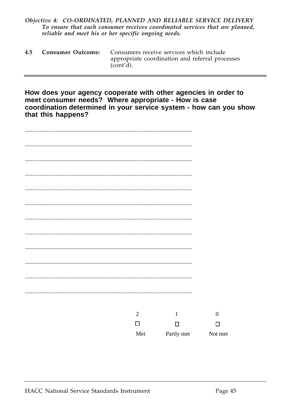#### Objective 4: CO-ORDINATED, PLANNED AND RELIABLE SERVICE DELIVERY To ensure that each consumer receives coordinated services that are planned, reliable and meet his or her specific ongoing needs.

| 4.5 | <b>Consumer Outcome:</b> Consumers receive services which include |
|-----|-------------------------------------------------------------------|
|     | appropriate coordination and referral processes<br>(cont'd).      |

How does your agency cooperate with other agencies in order to meet consumer needs? Where appropriate - How is case coordination determined in your service system - how can you show that this happens?

| $\sqrt{2}$ | $\mathbf 1$ | $\boldsymbol{0}$ |
|------------|-------------|------------------|
| $\Box$     | $\Box$      | □                |
| Met        | Partly met  | Not met          |
|            |             |                  |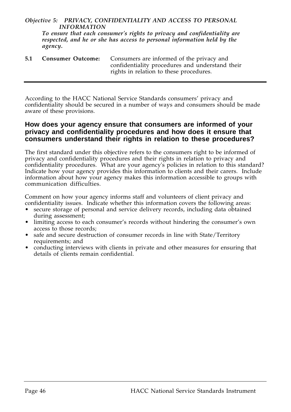#### *Objective 5: PRIVACY, CONFIDENTIALITY AND ACCESS TO PERSONAL INFORMATION*

*To ensure that each consumer's rights to privacy and confidentiality are respected, and he or she has access to personal information held by the agency.*

**5.1 Consumer Outcome:** Consumers are informed of the privacy and confidentiality procedures and understand their rights in relation to these procedures.

According to the HACC National Service Standards consumers' privacy and confidentiality should be secured in a number of ways and consumers should be made aware of these provisions.

#### **How does your agency ensure that consumers are informed of your privacy and confidentiality procedures and how does it ensure that consumers understand their rights in relation to these procedures?**

The first standard under this objective refers to the consumers right to be informed of privacy and confidentiality procedures and their rights in relation to privacy and confidentiality procedures. What are your agency's policies in relation to this standard? Indicate how your agency provides this information to clients and their carers. Include information about how your agency makes this information accessible to groups with communication difficulties.

Comment on how your agency informs staff and volunteers of client privacy and confidentiality issues. Indicate whether this information covers the following areas:

- secure storage of personal and service delivery records, including data obtained during assessment;
- limiting access to each consumer's records without hindering the consumer's own access to those records;
- safe and secure destruction of consumer records in line with State/Territory requirements; and
- conducting interviews with clients in private and other measures for ensuring that details of clients remain confidential.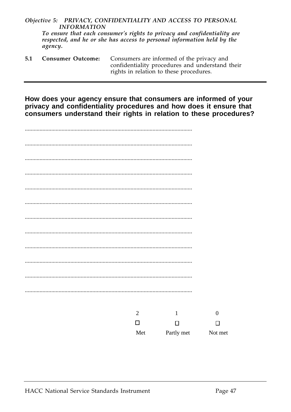#### Objective 5: PRIVACY, CONFIDENTIALITY AND ACCESS TO PERSONAL **INFORMATION**

To ensure that each consumer's rights to privacy and confidentiality are respected, and he or she has access to personal information held by the agency.

Consumers are informed of the privacy and  $5.1$ **Consumer Outcome:** confidentiality procedures and understand their rights in relation to these procedures.

How does your agency ensure that consumers are informed of your privacy and confidentiality procedures and how does it ensure that consumers understand their rights in relation to these procedures?

| . |                |              |                  |
|---|----------------|--------------|------------------|
|   |                |              |                  |
|   |                |              |                  |
|   |                |              |                  |
|   |                |              |                  |
|   |                |              |                  |
|   | $\overline{2}$ | $\mathbf{1}$ | $\boldsymbol{0}$ |
|   | $\Box$         | $\Box$       | $\Box$           |
|   | Met            | Partly met   | Not met          |
|   |                |              |                  |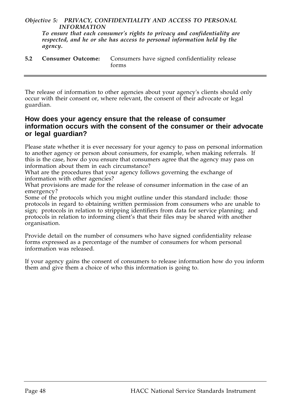#### *Objective 5: PRIVACY, CONFIDENTIALITY AND ACCESS TO PERSONAL INFORMATION*

*To ensure that each consumer's rights to privacy and confidentiality are respected, and he or she has access to personal information held by the agency.*

**5.2 Consumer Outcome:** Consumers have signed confidentiality release forms

The release of information to other agencies about your agency's clients should only occur with their consent or, where relevant, the consent of their advocate or legal guardian.

#### **How does your agency ensure that the release of consumer information occurs with the consent of the consumer or their advocate or legal guardian?**

Please state whether it is ever necessary for your agency to pass on personal information to another agency or person about consumers, for example, when making referrals. If this is the case, how do you ensure that consumers agree that the agency may pass on information about them in each circumstance?

What are the procedures that your agency follows governing the exchange of information with other agencies?

What provisions are made for the release of consumer information in the case of an emergency?

Some of the protocols which you might outline under this standard include: those protocols in regard to obtaining written permission from consumers who are unable to sign; protocols in relation to stripping identifiers from data for service planning; and protocols in relation to informing client's that their files may be shared with another organisation.

Provide detail on the number of consumers who have signed confidentiality release forms expressed as a percentage of the number of consumers for whom personal information was released.

If your agency gains the consent of consumers to release information how do you inform them and give them a choice of who this information is going to.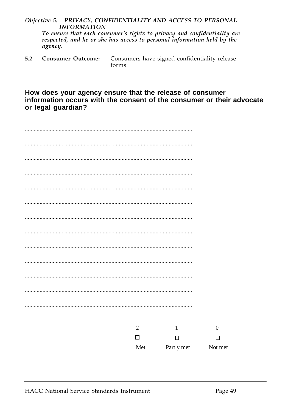#### Objective 5: PRIVACY, CONFIDENTIALITY AND ACCESS TO PERSONAL **INFORMATION**

To ensure that each consumer's rights to privacy and confidentiality are respected, and he or she has access to personal information held by the agency.

|  | 5.2 Consumer Outcome: Consumers have signed confidentiality release |
|--|---------------------------------------------------------------------|
|  | forms                                                               |

How does your agency ensure that the release of consumer information occurs with the consent of the consumer or their advocate or legal guardian?

| $\sqrt{2}$ | $\mathbf 1$ | $\boldsymbol{0}$ |
|------------|-------------|------------------|
| $\Box$     | $\Box$      | $\Box$           |
| Met        | Partly met  | Not met          |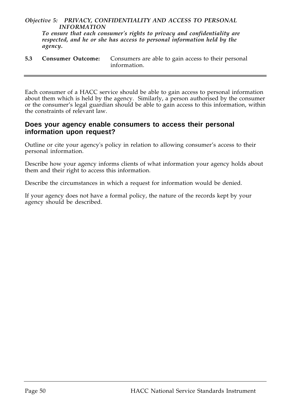#### *Objective 5: PRIVACY, CONFIDENTIALITY AND ACCESS TO PERSONAL INFORMATION*

*To ensure that each consumer's rights to privacy and confidentiality are respected, and he or she has access to personal information held by the agency.*

**5.3 Consumer Outcome:** Consumers are able to gain access to their personal information.

Each consumer of a HACC service should be able to gain access to personal information about them which is held by the agency. Similarly, a person authorised by the consumer or the consumer's legal guardian should be able to gain access to this information, within the constraints of relevant law.

#### **Does your agency enable consumers to access their personal information upon request?**

Outline or cite your agency's policy in relation to allowing consumer's access to their personal information.

Describe how your agency informs clients of what information your agency holds about them and their right to access this information.

Describe the circumstances in which a request for information would be denied.

If your agency does not have a formal policy, the nature of the records kept by your agency should be described.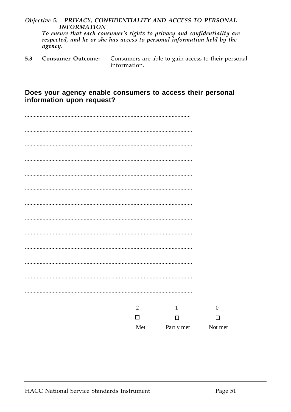#### Objective 5: PRIVACY, CONFIDENTIALITY AND ACCESS TO PERSONAL **INFORMATION**

To ensure that each consumer's rights to privacy and confidentiality are respected, and he or she has access to personal information held by the agency.

 $5.3$ **Consumer Outcome:** Consumers are able to gain access to their personal information.

#### Does your agency enable consumers to access their personal information upon request?

| $\overline{2}$ | $\mathbf{1}$ | $\boldsymbol{0}$ |
|----------------|--------------|------------------|
| $\Box$         | $\Box$       | $\Box$           |
| Met            | Partly met   | Not met          |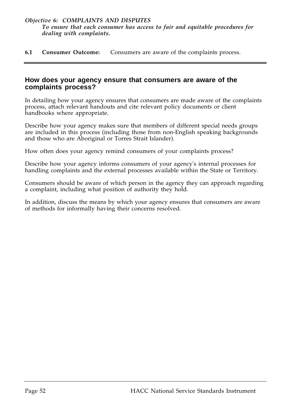**6.1 Consumer Outcome:** Consumers are aware of the complaints process.

#### **How does your agency ensure that consumers are aware of the complaints process?**

In detailing how your agency ensures that consumers are made aware of the complaints process, attach relevant handouts and cite relevant policy documents or client handbooks where appropriate.

Describe how your agency makes sure that members of different special needs groups are included in this process (including those from non-English speaking backgrounds and those who are Aboriginal or Torres Strait Islander).

How often does your agency remind consumers of your complaints process?

Describe how your agency informs consumers of your agency's internal processes for handling complaints and the external processes available within the State or Territory.

Consumers should be aware of which person in the agency they can approach regarding a complaint, including what position of authority they hold.

In addition, discuss the means by which your agency ensures that consumers are aware of methods for informally having their concerns resolved.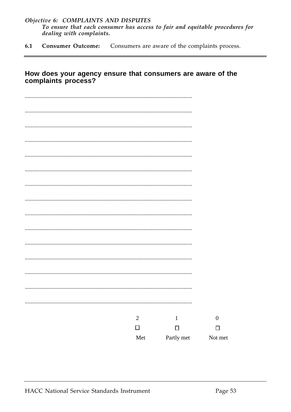#### Objective 6: COMPLAINTS AND DISPUTES To ensure that each consumer has access to fair and equitable procedures for dealing with complaints.

 $6.1$ Consumers are aware of the complaints process. **Consumer Outcome:** 

#### How does your agency ensure that consumers are aware of the complaints process?

| $\sqrt{2}$ | $\mathbf{1}$ | $\boldsymbol{0}$ |
|------------|--------------|------------------|
| $\Box$     | $\Box$       | $\Box$           |
| Met        | Partly met   | Not met          |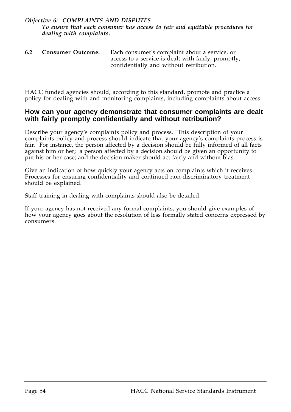#### *Objective 6: COMPLAINTS AND DISPUTES To ensure that each consumer has access to fair and equitable procedures for dealing with complaints.*

| 6.2 | <b>Consumer Outcome:</b> | Each consumer's complaint about a service, or       |
|-----|--------------------------|-----------------------------------------------------|
|     |                          | access to a service is dealt with fairly, promptly, |
|     |                          | confidentially and without retribution.             |

HACC funded agencies should, according to this standard, promote and practice a policy for dealing with and monitoring complaints, including complaints about access.

#### **How can your agency demonstrate that consumer complaints are dealt with fairly promptly confidentially and without retribution?**

Describe your agency's complaints policy and process. This description of your complaints policy and process should indicate that your agency's complaints process is fair. For instance, the person affected by a decision should be fully informed of all facts against him or her; a person affected by a decision should be given an opportunity to put his or her case; and the decision maker should act fairly and without bias.

Give an indication of how quickly your agency acts on complaints which it receives. Processes for ensuring confidentiality and continued non-discriminatory treatment should be explained.

Staff training in dealing with complaints should also be detailed.

If your agency has not received any formal complaints, you should give examples of how your agency goes about the resolution of less formally stated concerns expressed by consumers.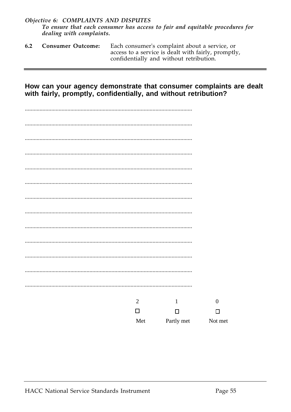#### Objective 6: COMPLAINTS AND DISPUTES To ensure that each consumer has access to fair and equitable procedures for dealing with complaints.

| 6.2 | <b>Consumer Outcome:</b> | Each consumer's complaint about a service, or       |
|-----|--------------------------|-----------------------------------------------------|
|     |                          | access to a service is dealt with fairly, promptly, |
|     |                          | confidentially and without retribution.             |

#### How can your agency demonstrate that consumer complaints are dealt with fairly, promptly, confidentially, and without retribution?

| $\mathbf{2}$ | $\mathbf{1}$ | $\boldsymbol{0}$ |
|--------------|--------------|------------------|
| $\Box$       | $\Box$       | $\Box$           |
| Met          | Partly met   | Not met          |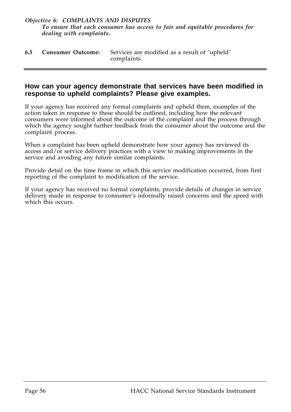#### *Objective 6: COMPLAINTS AND DISPUTES To ensure that each consumer has access to fair and equitable procedures for dealing with complaints.*

| 6.3 | <b>Consumer Outcome:</b> Services are modified as a result of "upheld" |
|-----|------------------------------------------------------------------------|
|     | complaints.                                                            |

#### **How can your agency demonstrate that services have been modified in response to upheld complaints? Please give examples.**

If your agency has received any formal complaints and upheld them, examples of the action taken in response to these should be outlined, including how the relevant consumers were informed about the outcome of the complaint and the process through which the agency sought further feedback from the consumer about the outcome and the complaint process.

When a complaint has been upheld demonstrate how your agency has reviewed its access and/or service delivery practices with a view to making improvements in the service and avoiding any future similar complaints.

Provide detail on the time frame in which this service modification occurred, from first reporting of the complaint to modification of the service.

If your agency has received no formal complaints, provide details of changes in service delivery made in response to consumer's informally raised concerns and the speed with which this occurs.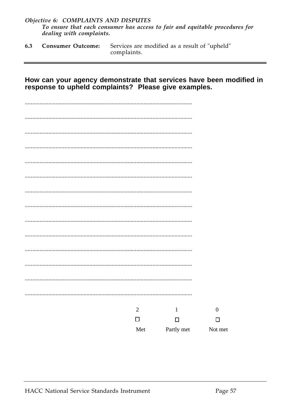#### Objective 6: COMPLAINTS AND DISPUTES To ensure that each consumer has access to fair and equitable procedures for dealing with complaints.

Services are modified as a result of "upheld" **Consumer Outcome:** 6.3 complaints.

#### How can your agency demonstrate that services have been modified in response to upheld complaints? Please give examples.

| $\sqrt{2}$ | $\mathbf{1}$ | $\boldsymbol{0}$ |
|------------|--------------|------------------|
| $\Box$     | $\Box$       | □                |
| Met        | Partly met   | Not met          |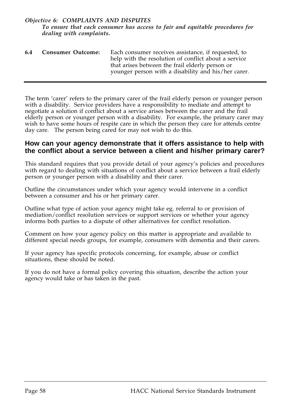#### *Objective 6: COMPLAINTS AND DISPUTES To ensure that each consumer has access to fair and equitable procedures for dealing with complaints.*

| 6.4 | <b>Consumer Outcome:</b> | Each consumer receives assistance, if requested, to                                                     |
|-----|--------------------------|---------------------------------------------------------------------------------------------------------|
|     |                          | help with the resolution of conflict about a service<br>that arises between the frail elderly person or |
|     |                          | younger person with a disability and his/her carer.                                                     |

The term 'carer' refers to the primary carer of the frail elderly person or younger person with a disability. Service providers have a responsibility to mediate and attempt to negotiate a solution if conflict about a service arises between the carer and the frail elderly person or younger person with a disability. For example, the primary carer may wish to have some hours of respite care in which the person they care for attends centre day care. The person being cared for may not wish to do this.

#### **How can your agency demonstrate that it offers assistance to help with the conflict about a service between a client and his/her primary carer?**

This standard requires that you provide detail of your agency's policies and procedures with regard to dealing with situations of conflict about a service between a frail elderly person or younger person with a disability and their carer.

Outline the circumstances under which your agency would intervene in a conflict between a consumer and his or her primary carer.

Outline what type of action your agency might take eg. referral to or provision of mediation/conflict resolution services or support services or whether your agency informs both parties to a dispute of other alternatives for conflict resolution.

Comment on how your agency policy on this matter is appropriate and available to different special needs groups, for example, consumers with dementia and their carers.

If your agency has specific protocols concerning, for example, abuse or conflict situations, these should be noted.

If you do not have a formal policy covering this situation, describe the action your agency would take or has taken in the past.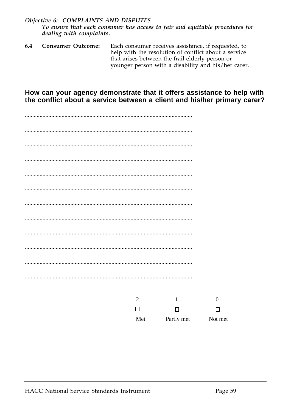#### Objective 6: COMPLAINTS AND DISPUTES To ensure that each consumer has access to fair and equitable procedures for dealing with complaints.

6.4 **Consumer Outcome:** Each consumer receives assistance, if requested, to help with the resolution of conflict about a service that arises between the frail elderly person or younger person with a disability and his/her carer.

How can your agency demonstrate that it offers assistance to help with the conflict about a service between a client and his/her primary carer?

|  | $\mathbf{2}$ | $\mathbf{1}$ | $\boldsymbol{0}$ |
|--|--------------|--------------|------------------|
|  | $\Box$       | $\Box$       | □                |
|  | Met          | Partly met   | Not met          |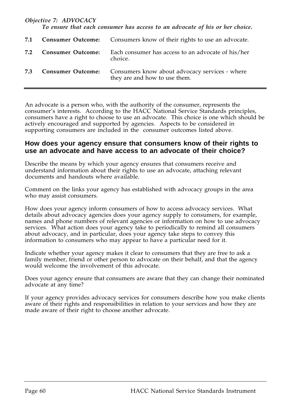#### *Objective 7: ADVOCACY*

*To ensure that each consumer has access to an advocate of his or her choice.*

| 7.1 |                          | <b>Consumer Outcome:</b> Consumers know of their rights to use an advocate.     |
|-----|--------------------------|---------------------------------------------------------------------------------|
| 7.2 | <b>Consumer Outcome:</b> | Each consumer has access to an advocate of his/her<br>choice.                   |
| 7.3 | <b>Consumer Outcome:</b> | Consumers know about advocacy services - where<br>they are and how to use them. |

An advocate is a person who, with the authority of the consumer, represents the consumer's interests. According to the HACC National Service Standards principles, consumers have a right to choose to use an advocate. This choice is one which should be actively encouraged and supported by agencies. Aspects to be considered in supporting consumers are included in the consumer outcomes listed above.

#### **How does your agency ensure that consumers know of their rights to use an advocate and have access to an advocate of their choice?**

Describe the means by which your agency ensures that consumers receive and understand information about their rights to use an advocate, attaching relevant documents and handouts where available.

Comment on the links your agency has established with advocacy groups in the area who may assist consumers.

How does your agency inform consumers of how to access advocacy services. What details about advocacy agencies does your agency supply to consumers, for example, names and phone numbers of relevant agencies or information on how to use advocacy services. What action does your agency take to periodically to remind all consumers about advocacy, and in particular, does your agency take steps to convey this information to consumers who may appear to have a particular need for it.

Indicate whether your agency makes it clear to consumers that they are free to ask a family member, friend or other person to advocate on their behalf, and that the agency would welcome the involvement of this advocate.

Does your agency ensure that consumers are aware that they can change their nominated advocate at any time?

If your agency provides advocacy services for consumers describe how you make clients aware of their rights and responsibilities in relation to your services and how they are made aware of their right to choose another advocate.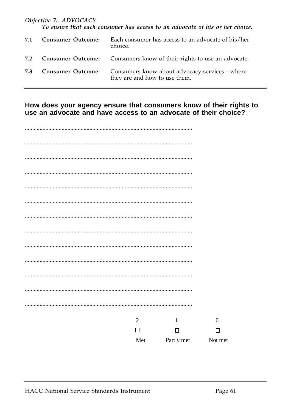#### Objective 7: ADVOCACY

To ensure that each consumer has access to an advocate of his or her choice.

| 7.1 | <b>Consumer Outcome:</b> | Each consumer has access to an advocate of his/her<br>choice.                   |
|-----|--------------------------|---------------------------------------------------------------------------------|
| 7.2 |                          | <b>Consumer Outcome:</b> Consumers know of their rights to use an advocate.     |
| 7.3 | <b>Consumer Outcome:</b> | Consumers know about advocacy services - where<br>they are and how to use them. |

How does your agency ensure that consumers know of their rights to use an advocate and have access to an advocate of their choice?

|  | $\overline{2}$ | $\mathbf{1}$ | $\boldsymbol{0}$ |
|--|----------------|--------------|------------------|
|  | □              | $\Box$       | □                |
|  | Met            | Partly met   | Not met          |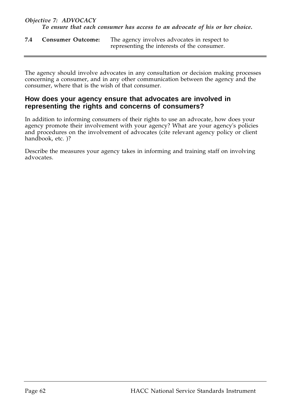| 7.4 | <b>Consumer Outcome:</b> | The agency involves advocates in respect to |
|-----|--------------------------|---------------------------------------------|
|     |                          | representing the interests of the consumer. |

The agency should involve advocates in any consultation or decision making processes concerning a consumer, and in any other communication between the agency and the consumer, where that is the wish of that consumer.

#### **How does your agency ensure that advocates are involved in representing the rights and concerns of consumers?**

In addition to informing consumers of their rights to use an advocate, how does your agency promote their involvement with your agency? What are your agency's policies and procedures on the involvement of advocates (cite relevant agency policy or client handbook, etc. )?

Describe the measures your agency takes in informing and training staff on involving advocates.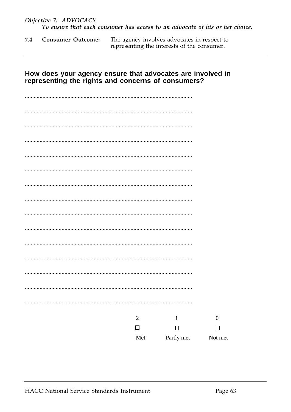The agency involves advocates in respect to 7.4 **Consumer Outcome:** representing the interests of the consumer.

#### How does your agency ensure that advocates are involved in representing the rights and concerns of consumers?

| $\sqrt{2}$ | $\mathbf{1}$ | $\boldsymbol{0}$ |
|------------|--------------|------------------|
| $\Box$     | $\Box$       | $\Box$           |
| Met        | Partly met   | Not met          |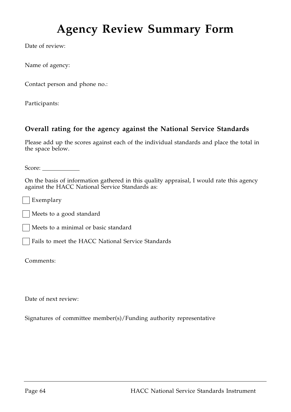# **Agency Review Summary Form**

Date of review:

Name of agency:

Contact person and phone no.:

Participants:

#### **Overall rating for the agency against the National Service Standards**

Please add up the scores against each of the individual standards and place the total in the space below.

Score:

On the basis of information gathered in this quality appraisal, I would rate this agency against the HACC National Service Standards as:

Exemplary

Meets to a good standard

Meets to a minimal or basic standard

Fails to meet the HACC National Service Standards

Comments:

Date of next review:

Signatures of committee member(s)/Funding authority representative